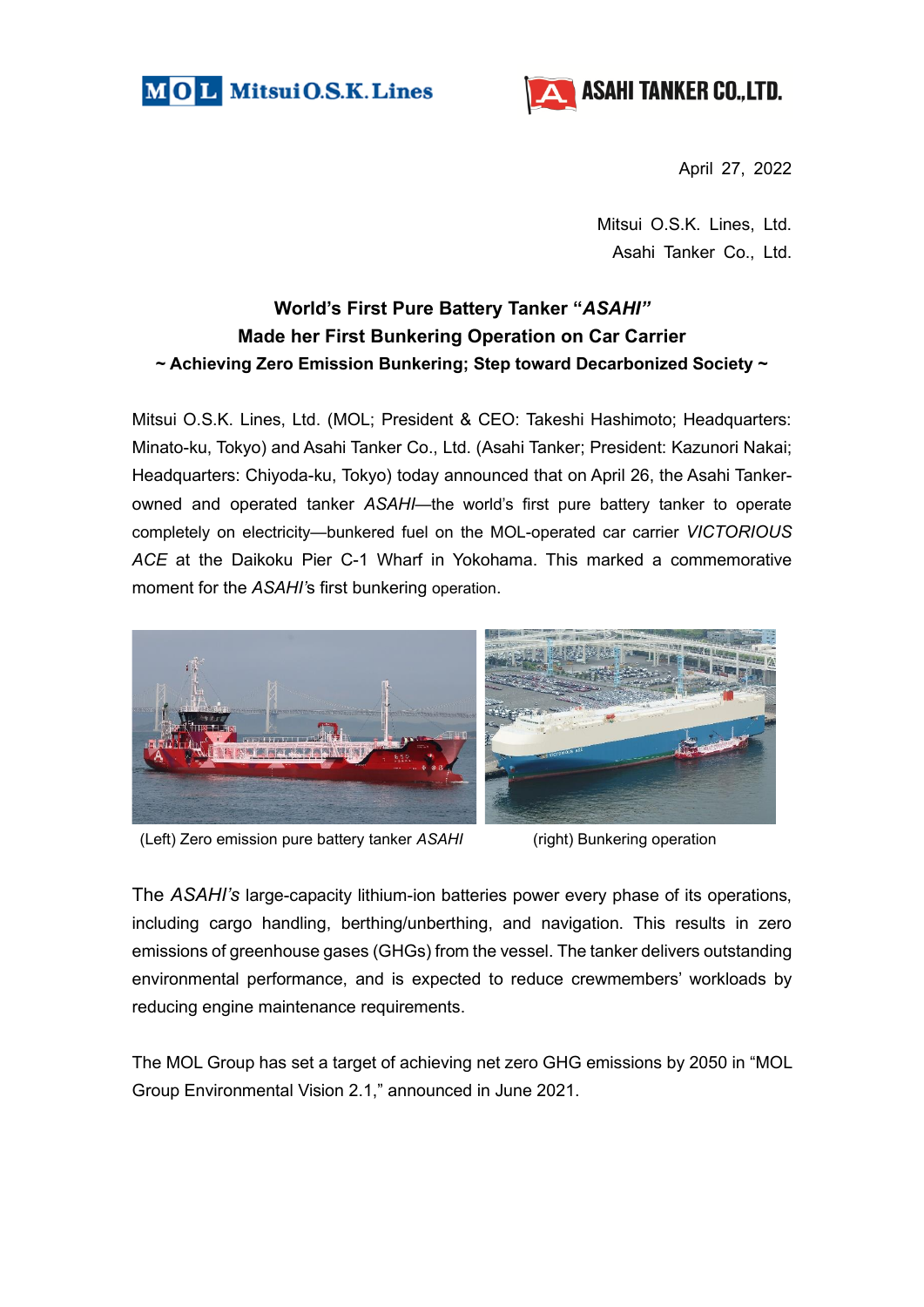



April 27, 2022

Mitsui O.S.K. Lines, Ltd. Asahi Tanker Co., Ltd.

## **World's First Pure Battery Tanker "***ASAHI"* **Made her First Bunkering Operation on Car Carrier ~ Achieving Zero Emission Bunkering; Step toward Decarbonized Society ~**

Mitsui O.S.K. Lines, Ltd. (MOL; President & CEO: Takeshi Hashimoto; Headquarters: Minato-ku, Tokyo) and Asahi Tanker Co., Ltd. (Asahi Tanker; President: Kazunori Nakai; Headquarters: Chiyoda-ku, Tokyo) today announced that on April 26, the Asahi Tankerowned and operated tanker *ASAHI*—the world's first pure battery tanker to operate completely on electricity—bunkered fuel on the MOL-operated car carrier *VICTORIOUS ACE* at the Daikoku Pier C-1 Wharf in Yokohama. This marked a commemorative moment for the *ASAHI'*s first bunkering operation.



(Left) Zero emission pure battery tanker *ASAHI* (right) Bunkering operation

The *ASAHI's* large-capacity lithium-ion batteries power every phase of its operations, including cargo handling, berthing/unberthing, and navigation. This results in zero emissions of greenhouse gases (GHGs) from the vessel. The tanker delivers outstanding environmental performance, and is expected to reduce crewmembers' workloads by reducing engine maintenance requirements.

The MOL Group has set a target of achieving net zero GHG emissions by 2050 in "MOL Group Environmental Vision 2.1," announced in June 2021.